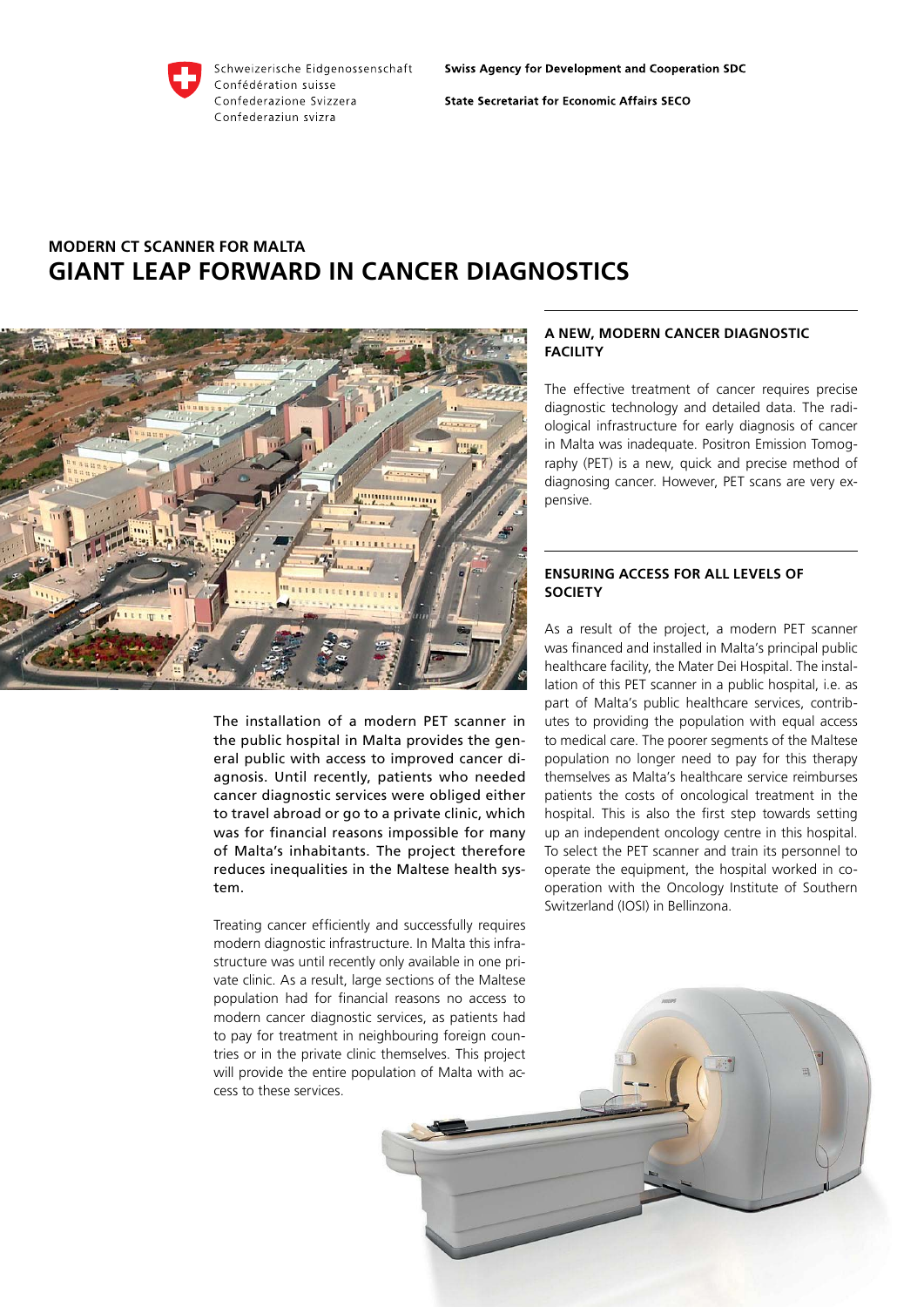

**State Secretariat for Economic Affairs SECO** 

# **Modern CT scanner for Malta Giant leap forward in cancer diagnostics**



The installation of a modern PET scanner in the public hospital in Malta provides the general public with access to improved cancer diagnosis. Until recently, patients who needed cancer diagnostic services were obliged either to travel abroad or go to a private clinic, which was for financial reasons impossible for many of Malta's inhabitants. The project therefore reduces inequalities in the Maltese health system.

Treating cancer efficiently and successfully requires modern diagnostic infrastructure. In Malta this infrastructure was until recently only available in one private clinic. As a result, large sections of the Maltese population had for financial reasons no access to modern cancer diagnostic services, as patients had to pay for treatment in neighbouring foreign countries or in the private clinic themselves. This project will provide the entire population of Malta with access to these services.

## **A new, modern cancer diagnostic facility**

The effective treatment of cancer requires precise diagnostic technology and detailed data. The radiological infrastructure for early diagnosis of cancer in Malta was inadequate. Positron Emission Tomography (PET) is a new, quick and precise method of diagnosing cancer. However, PET scans are very expensive.

## **Ensuring access for all levels of society**

As a result of the project, a modern PET scanner was financed and installed in Malta's principal public healthcare facility, the Mater Dei Hospital. The installation of this PET scanner in a public hospital, i.e. as part of Malta's public healthcare services, contributes to providing the population with equal access to medical care. The poorer segments of the Maltese population no longer need to pay for this therapy themselves as Malta's healthcare service reimburses patients the costs of oncological treatment in the hospital. This is also the first step towards setting up an independent oncology centre in this hospital. To select the PET scanner and train its personnel to operate the equipment, the hospital worked in cooperation with the Oncology Institute of Southern Switzerland (IOSI) in Bellinzona.